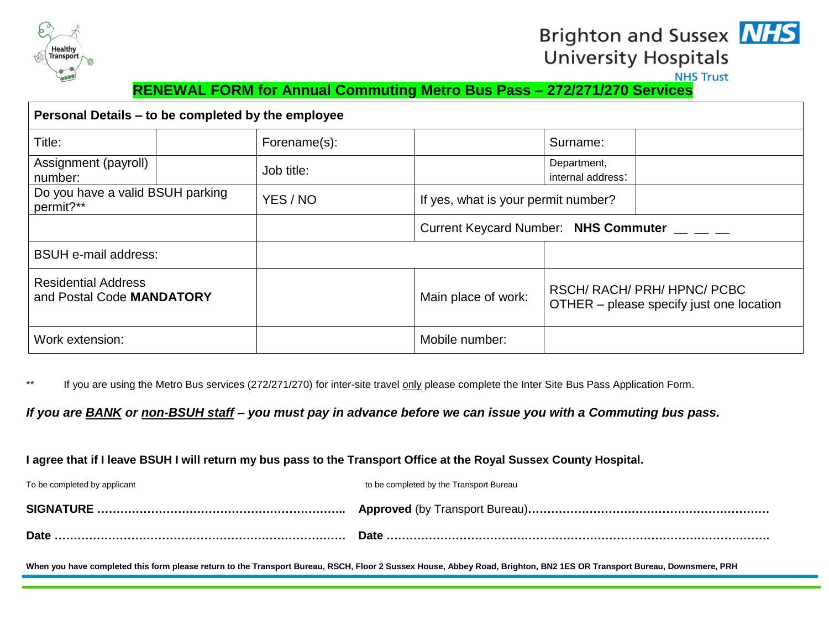

# Brighton and Sussex **NHS University Hospitals**



### **RENEWAL FORM for Annual Commuting Metro Bus Pass – 272/271/270 Services**

| Personal Details – to be completed by the employee      |              |                     |                                                                         |  |
|---------------------------------------------------------|--------------|---------------------|-------------------------------------------------------------------------|--|
| Title:                                                  | Forename(s): |                     | Surname:                                                                |  |
| Assignment (payroll)<br>number:                         | Job title:   |                     | Department,<br>internal address:                                        |  |
| Do you have a valid BSUH parking<br>permit?**           | YES / NO     |                     | If yes, what is your permit number?                                     |  |
|                                                         |              |                     | Current Keycard Number: NHS Commuter __ _ _                             |  |
| <b>BSUH e-mail address:</b>                             |              |                     |                                                                         |  |
| <b>Residential Address</b><br>and Postal Code MANDATORY |              | Main place of work: | RSCH/ RACH/ PRH/ HPNC/ PCBC<br>OTHER – please specify just one location |  |
| Work extension:                                         |              | Mobile number:      |                                                                         |  |

\*\* If you are using the Metro Bus services (272/271/270) for inter-site travel only please complete the Inter Site Bus Pass Application Form.

*If you are BANK or non-BSUH staff – you must pay in advance before we can issue you with a Commuting bus pass.*

#### **I agree that if I leave BSUH I will return my bus pass to the Transport Office at the Royal Sussex County Hospital.**

| To be completed by applicant | to be completed by the Transport Bureau |
|------------------------------|-----------------------------------------|
|                              |                                         |
|                              |                                         |

**When you have completed this form please return to the Transport Bureau, RSCH, Floor 2 Sussex House, Abbey Road, Brighton, BN2 1ES OR Transport Bureau, Downsmere, PRH**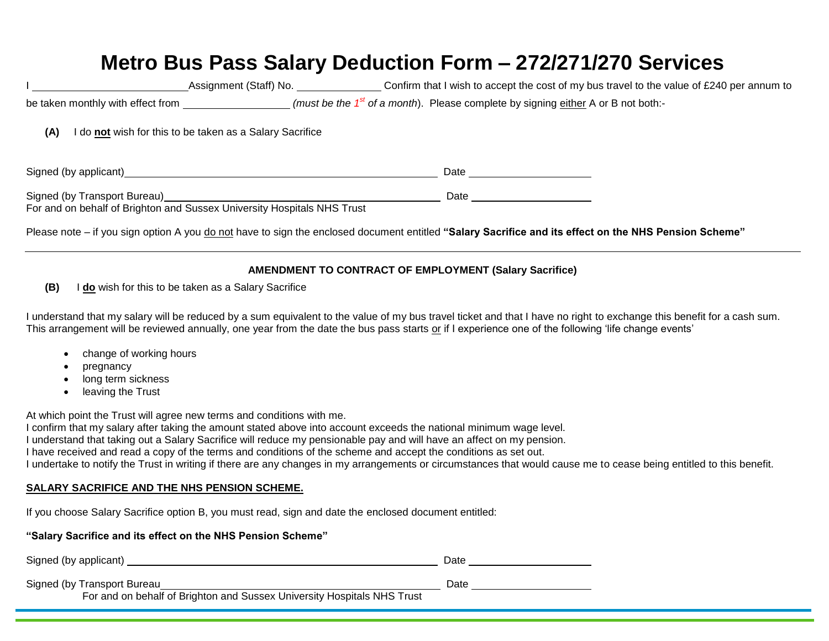# **Metro Bus Pass Salary Deduction Form – 272/271/270 Services**

|                                   | Assignment (Staff) No. | Confirm that I wish to accept the cost of my bus travel to the value of £240 per annum to       |
|-----------------------------------|------------------------|-------------------------------------------------------------------------------------------------|
| be taken monthly with effect from |                        | _ (must be the 1 <sup>st</sup> of a month). Please complete by signing either A or B not both:- |

**(A)** I do **not** wish for this to be taken as a Salary Sacrifice

Signed (by applicant) Date

Signed (by Transport Bureau) Date by Transport Bureau Districts and Date by Date by Date by Date by Date by Date by Date by Date by Date by Date by Date by Date by Date by Date by Date by Date by Date by Date by Date by Da

For and on behalf of Brighton and Sussex University Hospitals NHS Trust

Please note – if you sign option A you do not have to sign the enclosed document entitled **"Salary Sacrifice and its effect on the NHS Pension Scheme"**

#### **AMENDMENT TO CONTRACT OF EMPLOYMENT (Salary Sacrifice)**

**(B)** I **do** wish for this to be taken as a Salary Sacrifice

I understand that my salary will be reduced by a sum equivalent to the value of my bus travel ticket and that I have no right to exchange this benefit for a cash sum. This arrangement will be reviewed annually, one year from the date the bus pass starts or if I experience one of the following 'life change events'

- change of working hours
- pregnancy
- long term sickness
- leaving the Trust

At which point the Trust will agree new terms and conditions with me.

I confirm that my salary after taking the amount stated above into account exceeds the national minimum wage level. I understand that taking out a Salary Sacrifice will reduce my pensionable pay and will have an affect on my pension. I have received and read a copy of the terms and conditions of the scheme and accept the conditions as set out. I undertake to notify the Trust in writing if there are any changes in my arrangements or circumstances that would cause me to cease being entitled to this benefit.

#### **SALARY SACRIFICE AND THE NHS PENSION SCHEME.**

If you choose Salary Sacrifice option B, you must read, sign and date the enclosed document entitled:

### **"Salary Sacrifice and its effect on the NHS Pension Scheme"**

| Signed (by applicant)                                                                                  | Date |
|--------------------------------------------------------------------------------------------------------|------|
| Signed (by Transport Bureau<br>For and on behalf of Brighton and Sussex University Hospitals NHS Trust | Date |